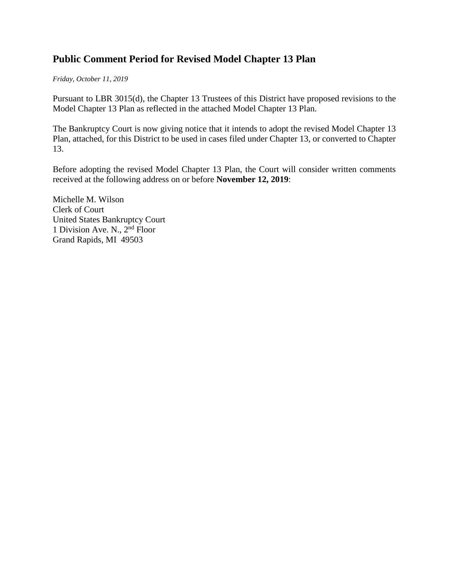## **Public Comment Period for Revised Model Chapter 13 Plan**

*Friday, October 11, 2019*

Pursuant to LBR 3015(d), the Chapter 13 Trustees of this District have proposed revisions to the Model Chapter 13 Plan as reflected in the attached Model Chapter 13 Plan.

The Bankruptcy Court is now giving notice that it intends to adopt the revised Model Chapter 13 Plan, attached, for this District to be used in cases filed under Chapter 13, or converted to Chapter 13.

Before adopting the revised Model Chapter 13 Plan, the Court will consider written comments received at the following address on or before **November 12, 2019**:

Michelle M. Wilson Clerk of Court United States Bankruptcy Court 1 Division Ave. N.,  $2<sup>nd</sup>$  Floor Grand Rapids, MI 49503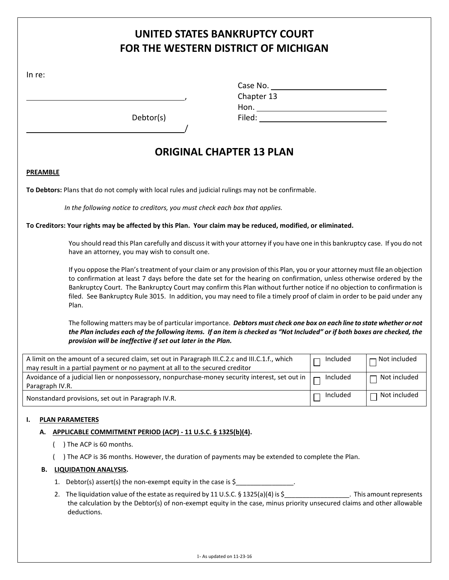# **UNITED STATES BANKRUPTCY COURT FOR THE WESTERN DISTRICT OF MICHIGAN**

In re:

Debtor(s)

| Case No.   |  |
|------------|--|
| Chapter 13 |  |
| Hon.       |  |
| Filed:     |  |
|            |  |

## **ORIGINAL CHAPTER 13 PLAN**

## **PREAMBLE**

**To Debtors:** Plans that do not comply with local rules and judicial rulings may not be confirmable.

*In the following notice to creditors, you must check each box that applies.*

**To Creditors: Your rights may be affected by this Plan. Your claim may be reduced, modified, or eliminated.**

,

/

You should read this Plan carefully and discuss it with your attorney if you have one in this bankruptcy case. If you do not have an attorney, you may wish to consult one.

If you oppose the Plan's treatment of your claim or any provision of this Plan, you or your attorney must file an objection to confirmation at least 7 days before the date set for the hearing on confirmation, unless otherwise ordered by the Bankruptcy Court. The Bankruptcy Court may confirm this Plan without further notice if no objection to confirmation is filed. See Bankruptcy Rule 3015. In addition, you may need to file a timely proof of claim in order to be paid under any Plan.

The following matters may be of particular importance. *Debtors must check one box on each line to state whether or not the Plan includes each of the following items. If an item is checked as "Not Included" or if both boxes are checked, the provision will be ineffective if set out later in the Plan.*

| A limit on the amount of a secured claim, set out in Paragraph III.C.2.c and III.C.1.f., which                 | $\Box$ Included | $\Box$ Not included  |
|----------------------------------------------------------------------------------------------------------------|-----------------|----------------------|
| may result in a partial payment or no payment at all to the secured creditor                                   |                 |                      |
| Avoidance of a judicial lien or nonpossessory, nonpurchase-money security interest, set out in $\Box$ Included |                 | $\Box$ Not included  |
| Paragraph IV.R.                                                                                                |                 |                      |
| Nonstandard provisions, set out in Paragraph IV.R.                                                             | $\Box$ Included | $ \Box$ Not included |

#### **I. PLAN PARAMETERS**

## **A. APPLICABLE COMMITMENT PERIOD (ACP) - 11 U.S.C. § 1325(b)(4).**

- ( ) The ACP is 60 months.
- ( ) The ACP is 36 months. However, the duration of payments may be extended to complete the Plan.

## **B. LIQUIDATION ANALYSIS.**

- 1. Debtor(s) assert(s) the non-exempt equity in the case is  $\zeta$
- 2. The liquidation value of the estate as required by 11 U.S.C. § 1325(a)(4) is \$\_\_\_\_\_\_\_\_\_\_\_\_\_\_\_\_\_. This amount represents the calculation by the Debtor(s) of non-exempt equity in the case, minus priority unsecured claims and other allowable deductions.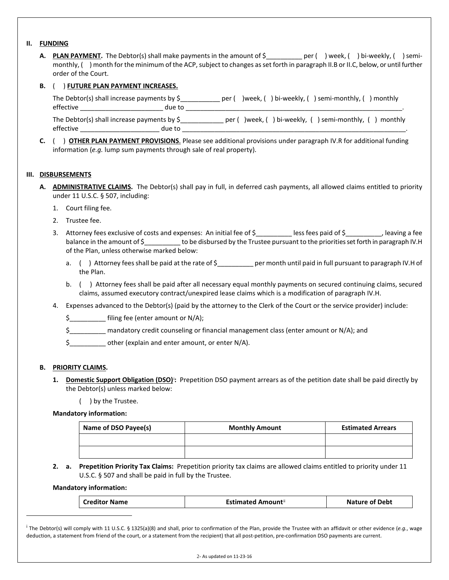#### **II. FUNDING**

**A. PLAN PAYMENT.** The Debtor(s) shall make payments in the amount of \$\_\_\_\_\_\_\_\_\_\_ per ( ) week, ( ) bi-weekly, ( )semimonthly, ( ) month for the minimum of the ACP, subject to changes as set forth in paragraph II.B or II.C, below, or until further order of the Court.

#### **B.** ( ) **FUTURE PLAN PAYMENT INCREASES.**

The Debtor(s) shall increase payments by \$ \_\_\_\_\_\_\_\_\_ per ( )week, ( ) bi-weekly, ( ) semi-monthly, ( ) monthly effective effective  $\sim$  due to  $\sim$ 

The Debtor(s) shall increase payments by \$\_\_\_\_\_\_\_\_\_\_\_\_\_\_ per ( )week, ( ) bi-weekly, ( ) semi-monthly, ( ) monthly effective \_\_\_\_\_\_\_\_\_\_\_\_\_\_\_\_\_\_\_\_\_\_ due to \_\_\_\_\_\_\_\_\_\_\_\_\_\_\_\_\_\_\_\_\_\_\_\_\_\_\_\_\_\_\_\_\_\_\_\_\_\_\_\_\_\_\_\_\_\_\_\_\_\_\_\_\_\_\_\_\_\_\_\_\_\_.

**C.** ( ) **OTHER PLAN PAYMENT PROVISIONS**. Please see additional provisions under paragraph IV.R for additional funding information (*e.g.* lump sum payments through sale of real property).

#### **III. DISBURSEMENTS**

- **A. ADMINISTRATIVE CLAIMS.** The Debtor(s) shall pay in full, in deferred cash payments, all allowed claims entitled to priority under 11 U.S.C. § 507, including:
	- 1. Court filing fee.
	- 2. Trustee fee.
	- 3. Attorney fees exclusive of costs and expenses: An initial fee of  $\zeta$  less fees paid of  $\zeta$ , leaving a fee balance in the amount of \$ to be disbursed by the Trustee pursuant to the priorities set forth in paragraph IV.H of the Plan, unless otherwise marked below:
		- a. () Attorney fees shall be paid at the rate of \$ \_\_\_\_\_\_\_ per month until paid in full pursuant to paragraph IV.H of the Plan.
		- b. ( ) Attorney fees shall be paid after all necessary equal monthly payments on secured continuing claims, secured claims, assumed executory contract/unexpired lease claims which is a modification of paragraph IV.H.
	- 4. Expenses advanced to the Debtor(s) (paid by the attorney to the Clerk of the Court or the service provider) include:

\$\_\_\_\_\_\_\_\_\_\_ filing fee (enter amount or N/A);

- \$\_\_\_\_\_\_\_\_\_\_ mandatory credit counseling or financial management class (enter amount or N/A); and
- \$\_\_\_\_\_\_\_\_\_\_ other (explain and enter amount, or enter N/A).

#### **B. PRIORITY CLAIMS.**

- **1. Domestic Support Obligation (DSO)**<sup>i</sup> **:** Prepetition DSO payment arrears as of the petition date shall be paid directly by the Debtor(s) unless marked below:
	- ( ) by the Trustee.

#### **Mandatory information:**

| Name of DSO Payee(s) | <b>Monthly Amount</b> | <b>Estimated Arrears</b> |
|----------------------|-----------------------|--------------------------|
|                      |                       |                          |
|                      |                       |                          |

**2. a. Prepetition Priority Tax Claims:** Prepetition priority tax claims are allowed claims entitled to priority under 11 U.S.C. § 507 and shall be paid in full by the Trustee.

#### **Mandatory information:**

 $\overline{a}$ 

| <b>Creditor Name</b> | <b>Estimated Amount</b> " | <b>Nature of Debt</b> |
|----------------------|---------------------------|-----------------------|
|                      |                           |                       |

<sup>1</sup> The Debtor(s) will comply with 11 U.S.C. § 1325(a)(8) and shall, prior to confirmation of the Plan, provide the Trustee with an affidavit or other evidence (e.g., wage deduction, a statement from friend of the court, or a statement from the recipient) that all post-petition, pre-confirmation DSO payments are current.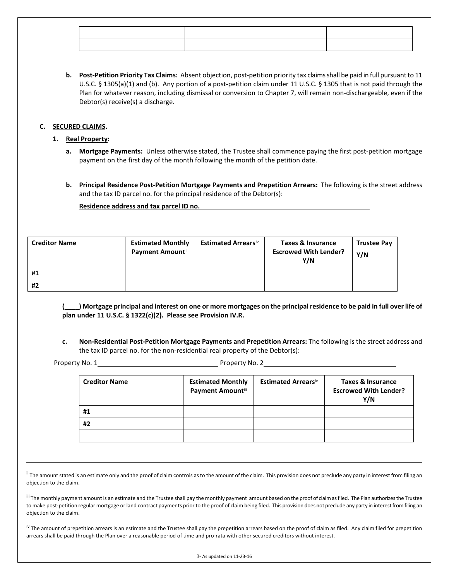| the contract of the contract of the contract of the contract of the contract of the contract of the contract of |  |
|-----------------------------------------------------------------------------------------------------------------|--|
|                                                                                                                 |  |
|                                                                                                                 |  |
|                                                                                                                 |  |
|                                                                                                                 |  |

**b. Post-Petition Priority Tax Claims:** Absent objection, post-petition priority tax claims shall be paid in full pursuant to 11 U.S.C. § 1305(a)(1) and (b). Any portion of a post-petition claim under 11 U.S.C. § 1305 that is not paid through the Plan for whatever reason, including dismissal or conversion to Chapter 7, will remain non-dischargeable, even if the Debtor(s) receive(s) a discharge.

## **C. SECURED CLAIMS.**

 $\overline{a}$ 

- **1. Real Property:**
	- **a. Mortgage Payments:** Unless otherwise stated, the Trustee shall commence paying the first post-petition mortgage payment on the first day of the month following the month of the petition date.
	- **b. Principal Residence Post-Petition Mortgage Payments and Prepetition Arrears:** The following is the street address and the tax ID parcel no. for the principal residence of the Debtor(s):

**Residence address and tax parcel ID no.**

| <b>Creditor Name</b> | <b>Estimated Monthly</b><br>Payment Amountiii | <b>Estimated Arrears</b> <sup>iv</sup> | Taxes & Insurance<br><b>Escrowed With Lender?</b><br>Y/N | <b>Trustee Pay</b><br>Y/N |
|----------------------|-----------------------------------------------|----------------------------------------|----------------------------------------------------------|---------------------------|
| #1                   |                                               |                                        |                                                          |                           |
| #2                   |                                               |                                        |                                                          |                           |

**(\_\_\_\_) Mortgage principal and interest on one or more mortgages on the principal residence to be paid in full over life of plan under 11 U.S.C. § 1322(c)(2). Please see Provision IV.R.**

**c. Non-Residential Post-Petition Mortgage Payments and Prepetition Arrears:** The following is the street address and the tax ID parcel no. for the non-residential real property of the Debtor(s):

Property No. 1 Property No. 2

**Creditor Name Estimated Monthly Payment Amount**iii **Estimated Arrears**iv **Taxes & Insurance Escrowed With Lender? Y/N #1 #2**

<sup>ii</sup> The amount stated is an estimate only and the proof of claim controls as to the amount of the claim. This provision does not preclude any party in interest from filing an objection to the claim.

<sup>iii</sup> The monthly payment amount is an estimate and the Trustee shall pay the monthly payment amount based on the proof of claim as filed. The Plan authorizes the Trustee to make post-petition regular mortgage or land contract payments prior to the proof of claim being filed. This provision does not preclude any party in interest from filing an objection to the claim.

<sup>iv</sup> The amount of prepetition arrears is an estimate and the Trustee shall pay the prepetition arrears based on the proof of claim as filed. Any claim filed for prepetition arrears shall be paid through the Plan over a reasonable period of time and pro-rata with other secured creditors without interest.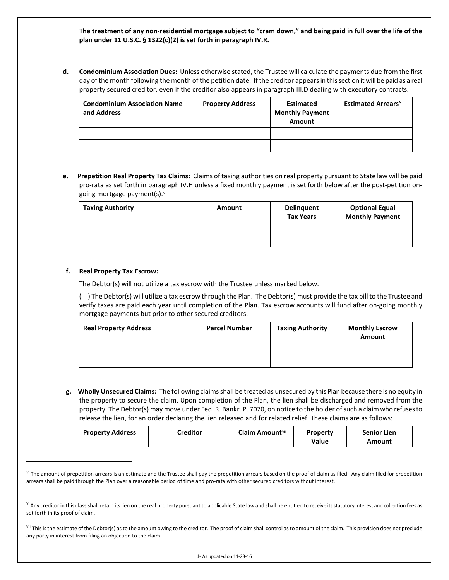**The treatment of any non-residential mortgage subject to "cram down," and being paid in full over the life of the plan under 11 U.S.C. § 1322(c)(2) is set forth in paragraph IV.R.**

**d. Condominium Association Dues:** Unless otherwise stated, the Trustee will calculate the payments due from the first day of the month following the month of the petition date. If the creditor appears in this section it will be paid as a real property secured creditor, even if the creditor also appears in paragraph III.D dealing with executory contracts.

| <b>Condominium Association Name</b><br>and Address | <b>Property Address</b> | <b>Estimated</b><br><b>Monthly Payment</b><br>Amount | Estimated Arrears <sup>v</sup> |
|----------------------------------------------------|-------------------------|------------------------------------------------------|--------------------------------|
|                                                    |                         |                                                      |                                |
|                                                    |                         |                                                      |                                |

**e. Prepetition Real Property Tax Claims:** Claims of taxing authorities on real property pursuant to State law will be paid pro-rata as set forth in paragraph IV.H unless a fixed monthly payment is set forth below after the post-petition ongoing mortgage payment(s).<sup>vi</sup>

| <b>Taxing Authority</b> | Amount | <b>Delinguent</b><br><b>Tax Years</b> | <b>Optional Equal</b><br><b>Monthly Payment</b> |
|-------------------------|--------|---------------------------------------|-------------------------------------------------|
|                         |        |                                       |                                                 |
|                         |        |                                       |                                                 |

### **f. Real Property Tax Escrow:**

 $\overline{a}$ 

The Debtor(s) will not utilize a tax escrow with the Trustee unless marked below.

( ) The Debtor(s) will utilize a tax escrow through the Plan. The Debtor(s) must provide the tax bill to the Trustee and verify taxes are paid each year until completion of the Plan. Tax escrow accounts will fund after on-going monthly mortgage payments but prior to other secured creditors.

| <b>Real Property Address</b> | <b>Parcel Number</b> | <b>Taxing Authority</b> | <b>Monthly Escrow</b><br>Amount |
|------------------------------|----------------------|-------------------------|---------------------------------|
|                              |                      |                         |                                 |
|                              |                      |                         |                                 |

**g. Wholly Unsecured Claims:** The following claims shall be treated as unsecured by this Plan because there is no equity in the property to secure the claim. Upon completion of the Plan, the lien shall be discharged and removed from the property. The Debtor(s) may move under Fed. R. Bankr. P. 7070, on notice to the holder of such a claim who refuses to release the lien, for an order declaring the lien released and for related relief. These claims are as follows:

 $V$  The amount of prepetition arrears is an estimate and the Trustee shall pay the prepetition arrears based on the proof of claim as filed. Any claim filed for prepetition arrears shall be paid through the Plan over a reasonable period of time and pro-rata with other secured creditors without interest.

<sup>&</sup>lt;sup>vi</sup> Any creditor in this class shall retain its lien on the real property pursuant to applicable State law and shall be entitled to receive its statutory interest and collection fees as set forth in its proof of claim.

<sup>&</sup>lt;sup>vii</sup> This is the estimate of the Debtor(s) as to the amount owing to the creditor. The proof of claim shall control as to amount of the claim. This provision does not preclude any party in interest from filing an objection to the claim.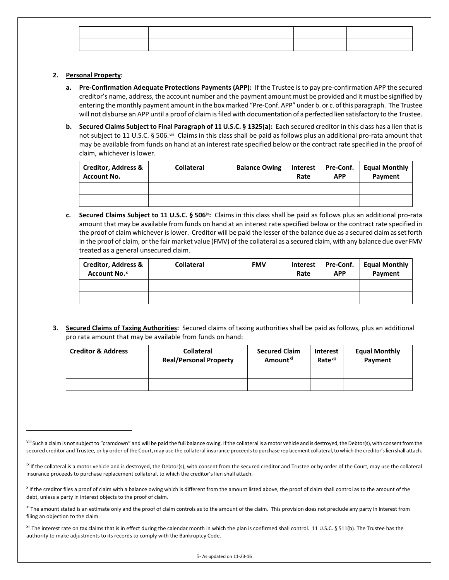## **2. Personal Property:**

 $\overline{a}$ 

- **a. Pre-Confirmation Adequate Protections Payments (APP):** If the Trustee is to pay pre-confirmation APP the secured creditor's name, address, the account number and the payment amount must be provided and it must be signified by entering the monthly payment amount in the box marked "Pre-Conf. APP" under b. or c. of this paragraph. The Trustee will not disburse an APP until a proof of claim is filed with documentation of a perfected lien satisfactory to the Trustee.
- **b. Secured Claims Subject to Final Paragraph of 11 U.S.C. § 1325(a):** Each secured creditor in this class has a lien that is not subject to 11 U.S.C. § 506.<sup>viii</sup> Claims in this class shall be paid as follows plus an additional pro-rata amount that may be available from funds on hand at an interest rate specified below or the contract rate specified in the proof of claim, whichever is lower.

| <b>Creditor, Address &amp;</b><br><b>Account No.</b> | <b>Collateral</b> | <b>Balance Owing</b> | Interest<br>Rate | Pre-Conf.<br><b>APP</b> | Equal Monthly<br>Payment |
|------------------------------------------------------|-------------------|----------------------|------------------|-------------------------|--------------------------|
|                                                      |                   |                      |                  |                         |                          |
|                                                      |                   |                      |                  |                         |                          |

**c. Secured Claims Subject to 11 U.S.C. § 506**ix**:** Claims in this class shall be paid as follows plus an additional pro-rata amount that may be available from funds on hand at an interest rate specified below or the contract rate specified in the proof of claim whichever is lower. Creditor will be paid the lesser of the balance due as a secured claim as set forth in the proof of claim, or the fair market value (FMV) of the collateral as a secured claim, with any balance due over FMV treated as a general unsecured claim.

| <b>Creditor, Address &amp;</b><br><b>Account No.</b> <sup>x</sup> | <b>Collateral</b> | <b>FMV</b> | <b>Interest</b><br>Rate | Pre-Conf.<br><b>APP</b> | Equal Monthly<br>Payment |
|-------------------------------------------------------------------|-------------------|------------|-------------------------|-------------------------|--------------------------|
|                                                                   |                   |            |                         |                         |                          |
|                                                                   |                   |            |                         |                         |                          |

**3. Secured Claims of Taxing Authorities:** Secured claims of taxing authorities shall be paid as follows, plus an additional pro rata amount that may be available from funds on hand:

| <b>Creditor &amp; Address</b> | <b>Collateral</b><br><b>Real/Personal Property</b> | <b>Secured Claim</b><br>Amount <sup>xi</sup> | <b>Interest</b><br><b>Rate</b> <sup>xii</sup> | <b>Equal Monthly</b><br>Payment |
|-------------------------------|----------------------------------------------------|----------------------------------------------|-----------------------------------------------|---------------------------------|
|                               |                                                    |                                              |                                               |                                 |
|                               |                                                    |                                              |                                               |                                 |

viii Such a claim is not subject to "cramdown" and will be paid the full balance owing. If the collateral is a motor vehicle and is destroyed, the Debtor(s), with consent from the secured creditor and Trustee, or by order of the Court, may use the collateral insurance proceeds to purchase replacement collateral, to which the creditor's lien shall attach.

ix If the collateral is a motor vehicle and is destroyed, the Debtor(s), with consent from the secured creditor and Trustee or by order of the Court, may use the collateral insurance proceeds to purchase replacement collateral, to which the creditor's lien shall attach.

<sup>&</sup>lt;sup>x</sup> If the creditor files a proof of claim with a balance owing which is different from the amount listed above, the proof of claim shall control as to the amount of the debt, unless a party in interest objects to the proof of claim.

<sup>&</sup>lt;sup>xi</sup> The amount stated is an estimate only and the proof of claim controls as to the amount of the claim. This provision does not preclude any party in interest from filing an objection to the claim.

<sup>&</sup>lt;sup>xii</sup> The interest rate on tax claims that is in effect during the calendar month in which the plan is confirmed shall control. 11 U.S.C. § 511(b). The Trustee has the authority to make adjustments to its records to comply with the Bankruptcy Code.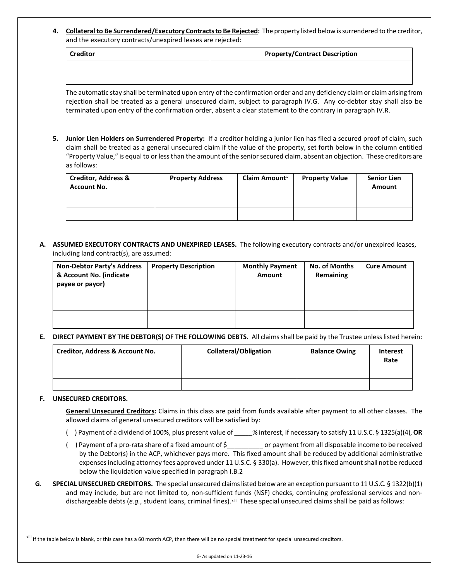**4. Collateral to Be Surrendered/Executory Contracts to Be Rejected:** The property listed below is surrendered to the creditor, and the executory contracts/unexpired leases are rejected:

| <b>Creditor</b> | <b>Property/Contract Description</b> |
|-----------------|--------------------------------------|
|                 |                                      |
|                 |                                      |

The automatic stay shall be terminated upon entry of the confirmation order and any deficiency claim or claim arising from rejection shall be treated as a general unsecured claim, subject to paragraph IV.G. Any co-debtor stay shall also be terminated upon entry of the confirmation order, absent a clear statement to the contrary in paragraph IV.R.

**5. Junior Lien Holders on Surrendered Property:** If a creditor holding a junior lien has filed a secured proof of claim, such claim shall be treated as a general unsecured claim if the value of the property, set forth below in the column entitled "Property Value," is equal to or less than the amount of the senior secured claim, absent an objection. These creditors are as follows:

| <b>Creditor, Address &amp;</b><br><b>Account No.</b> | <b>Property Address</b> | Claim Amountix | <b>Property Value</b> | <b>Senior Lien</b><br>Amount |
|------------------------------------------------------|-------------------------|----------------|-----------------------|------------------------------|
|                                                      |                         |                |                       |                              |
|                                                      |                         |                |                       |                              |

**A. ASSUMED EXECUTORY CONTRACTS AND UNEXPIRED LEASES.** The following executory contracts and/or unexpired leases, including land contract(s), are assumed:

| <b>Non-Debtor Party's Address</b><br>& Account No. (indicate<br>payee or payor) | <b>Property Description</b> | <b>Monthly Payment</b><br>Amount | <b>No. of Months</b><br>Remaining | <b>Cure Amount</b> |
|---------------------------------------------------------------------------------|-----------------------------|----------------------------------|-----------------------------------|--------------------|
|                                                                                 |                             |                                  |                                   |                    |
|                                                                                 |                             |                                  |                                   |                    |

**E. DIRECT PAYMENT BY THE DEBTOR(S) OF THE FOLLOWING DEBTS.** All claims shall be paid by the Trustee unless listed herein:

| <b>Creditor, Address &amp; Account No.</b> | <b>Collateral/Obligation</b> | <b>Balance Owing</b> | <b>Interest</b><br>Rate |
|--------------------------------------------|------------------------------|----------------------|-------------------------|
|                                            |                              |                      |                         |
|                                            |                              |                      |                         |

## **F. UNSECURED CREDITORS.**

 $\overline{a}$ 

**General Unsecured Creditors:** Claims in this class are paid from funds available after payment to all other classes. The allowed claims of general unsecured creditors will be satisfied by:

- ( ) Payment of a dividend of 100%, plus present value of \_\_\_\_\_% interest, if necessary to satisfy 11 U.S.C. § 1325(a)(4), **OR**
- ( ) Payment of a pro-rata share of a fixed amount of \$\_\_\_\_\_\_\_\_\_\_ or payment from all disposable income to be received by the Debtor(s) in the ACP, whichever pays more. This fixed amount shall be reduced by additional administrative expenses including attorney fees approved under 11 U.S.C. § 330(a). However, thisfixed amount shall not be reduced below the liquidation value specified in paragraph I.B.2
- **G**. **SPECIAL UNSECURED CREDITORS.** The special unsecured claimslisted below are an exception pursuant to 11 U.S.C. § 1322(b)(1) and may include, but are not limited to, non-sufficient funds (NSF) checks, continuing professional services and nondischargeable debts (e.g., student loans, criminal fines).<sup>xiii</sup> These special unsecured claims shall be paid as follows:

<sup>&</sup>lt;sup>xiii</sup> If the table below is blank, or this case has a 60 month ACP, then there will be no special treatment for special unsecured creditors.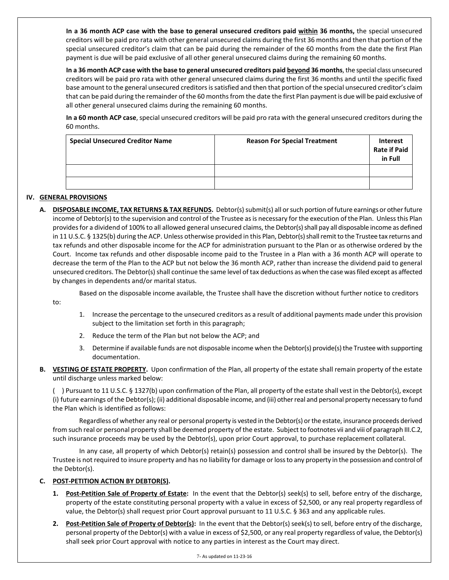**In a 36 month ACP case with the base to general unsecured creditors paid within 36 months,** the special unsecured creditors will be paid pro rata with other general unsecured claims during the first 36 months and then that portion of the special unsecured creditor's claim that can be paid during the remainder of the 60 months from the date the first Plan payment is due will be paid exclusive of all other general unsecured claims during the remaining 60 months.

 **In a 36 month ACP case with the base to general unsecured creditors paid beyond 36 months**, the special class unsecured creditors will be paid pro rata with other general unsecured claims during the first 36 months and until the specific fixed base amount to the general unsecured creditors is satisfied and then that portion of the special unsecured creditor's claim that can be paid during the remainder of the 60 monthsfrom the date the first Plan payment is due will be paid exclusive of all other general unsecured claims during the remaining 60 months.

 **In a 60 month ACP case**, special unsecured creditors will be paid pro rata with the general unsecured creditors during the 60 months.

| <b>Special Unsecured Creditor Name</b> | <b>Reason For Special Treatment</b> | <b>Interest</b><br><b>Rate if Paid</b><br>in Full |
|----------------------------------------|-------------------------------------|---------------------------------------------------|
|                                        |                                     |                                                   |
|                                        |                                     |                                                   |

## **IV. GENERAL PROVISIONS**

**A. DISPOSABLE INCOME, TAX RETURNS & TAX REFUNDS.** Debtor(s)submit(s) all or such portion of future earnings or other future income of Debtor(s) to the supervision and control of the Trustee as is necessary for the execution of the Plan. Unless this Plan provides for a dividend of 100% to all allowed general unsecured claims, the Debtor(s) shall pay all disposable income as defined in 11 U.S.C. § 1325(b) during the ACP. Unless otherwise provided in this Plan, Debtor(s) shall remit to the Trustee tax returns and tax refunds and other disposable income for the ACP for administration pursuant to the Plan or as otherwise ordered by the Court. Income tax refunds and other disposable income paid to the Trustee in a Plan with a 36 month ACP will operate to decrease the term of the Plan to the ACP but not below the 36 month ACP, rather than increase the dividend paid to general unsecured creditors. The Debtor(s) shall continue the same level of tax deductions as when the case was filed except as affected by changes in dependents and/or marital status.

Based on the disposable income available, the Trustee shall have the discretion without further notice to creditors

to:

- 1. Increase the percentage to the unsecured creditors as a result of additional payments made under this provision subject to the limitation set forth in this paragraph;
- 2. Reduce the term of the Plan but not below the ACP; and
- 3. Determine if available funds are not disposable income when the Debtor(s) provide(s)the Trustee with supporting documentation.
- **B. VESTING OF ESTATE PROPERTY.** Upon confirmation of the Plan, all property of the estate shall remain property of the estate until discharge unless marked below:

( ) Pursuant to 11 U.S.C. § 1327(b) upon confirmation of the Plan, all property of the estate shall vest in the Debtor(s), except (i) future earnings of the Debtor(s); (ii) additional disposable income, and (iii) otherreal and personal property necessary to fund the Plan which is identified as follows:

Regardless of whether any real or personal property is vested in the Debtor(s) or the estate, insurance proceeds derived from such real or personal property shall be deemed property of the estate. Subject to footnotes vii and viii of paragraph III.C.2, such insurance proceeds may be used by the Debtor(s), upon prior Court approval, to purchase replacement collateral.

In any case, all property of which Debtor(s) retain(s) possession and control shall be insured by the Debtor(s). The Trustee is not required to insure property and has no liability for damage or loss to any property in the possession and control of the Debtor(s).

## **C. POST-PETITION ACTION BY DEBTOR(S).**

- **1. Post-Petition Sale of Property of Estate:** In the event that the Debtor(s) seek(s) to sell, before entry of the discharge, property of the estate constituting personal property with a value in excess of \$2,500, or any real property regardless of value, the Debtor(s) shall request prior Court approval pursuant to 11 U.S.C. § 363 and any applicable rules.
- **2. Post-Petition Sale of Property of Debtor(s):** In the event that the Debtor(s) seek(s) to sell, before entry of the discharge, personal property of the Debtor(s) with a value in excess of \$2,500, or any real property regardless of value, the Debtor(s) shall seek prior Court approval with notice to any parties in interest as the Court may direct.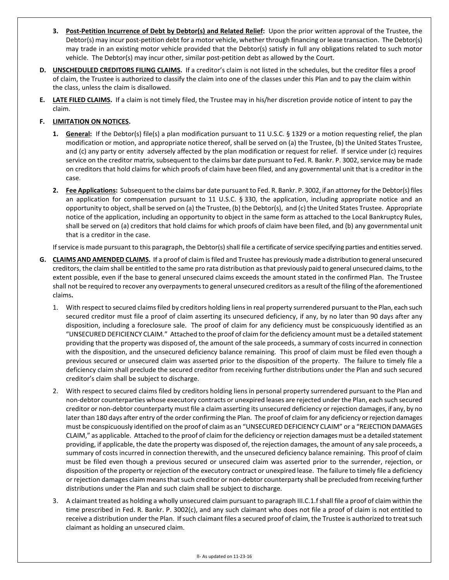- **3. Post-Petition Incurrence of Debt by Debtor(s) and Related Relief:** Upon the prior written approval of the Trustee, the Debtor(s) may incur post-petition debt for a motor vehicle, whether through financing or lease transaction. The Debtor(s) may trade in an existing motor vehicle provided that the Debtor(s) satisfy in full any obligations related to such motor vehicle. The Debtor(s) may incur other, similar post-petition debt as allowed by the Court.
- **D. UNSCHEDULED CREDITORS FILING CLAIMS.** If a creditor's claim is not listed in the schedules, but the creditor files a proof of claim, the Trustee is authorized to classify the claim into one of the classes under this Plan and to pay the claim within the class, unless the claim is disallowed.
- **E. LATE FILED CLAIMS.** If a claim is not timely filed, the Trustee may in his/her discretion provide notice of intent to pay the claim.

## **F. LIMITATION ON NOTICES.**

- **1.** General: If the Debtor(s) file(s) a plan modification pursuant to 11 U.S.C. § 1329 or a motion requesting relief, the plan modification or motion, and appropriate notice thereof, shall be served on (a) the Trustee, (b) the United States Trustee, and (c) any party or entity adversely affected by the plan modification or request for relief. If service under (c) requires service on the creditor matrix, subsequent to the claims bar date pursuant to Fed. R. Bankr. P. 3002, service may be made on creditors that hold claims for which proofs of claim have been filed, and any governmental unit that is a creditor in the case.
- **2. Fee Applications:** Subsequent to the claims bar date pursuant to Fed. R. Bankr. P. 3002, if an attorney for the Debtor(s) files an application for compensation pursuant to 11 U.S.C. § 330, the application, including appropriate notice and an opportunity to object, shall be served on (a) the Trustee, (b) the Debtor(s), and (c) the United States Trustee. Appropriate notice of the application, including an opportunity to object in the same form as attached to the Local Bankruptcy Rules, shall be served on (a) creditors that hold claims for which proofs of claim have been filed, and (b) any governmental unit that is a creditor in the case.

If service is made pursuant to this paragraph, the Debtor(s) shall file a certificate of service specifying parties and entities served.

- **G. CLAIMS AND AMENDED CLAIMS.** If a proof of claim is filed and Trustee has previously made a distribution to general unsecured creditors, the claim shall be entitled to the same pro rata distribution as that previously paid to general unsecured claims, to the extent possible, even if the base to general unsecured claims exceeds the amount stated in the confirmed Plan. The Trustee shall not be required to recover any overpayments to general unsecured creditors as a result of the filing of the aforementioned claims**.**
	- 1. With respect to secured claims filed by creditors holding liens in real property surrendered pursuant to the Plan, each such secured creditor must file a proof of claim asserting its unsecured deficiency, if any, by no later than 90 days after any disposition, including a foreclosure sale. The proof of claim for any deficiency must be conspicuously identified as an "UNSECURED DEFICIENCY CLAIM." Attached to the proof of claim for the deficiency amount must be a detailed statement providing that the property was disposed of, the amount of the sale proceeds, a summary of costsincurred in connection with the disposition, and the unsecured deficiency balance remaining. This proof of claim must be filed even though a previous secured or unsecured claim was asserted prior to the disposition of the property. The failure to timely file a deficiency claim shall preclude the secured creditor from receiving further distributions under the Plan and such secured creditor's claim shall be subject to discharge.
	- 2. With respect to secured claims filed by creditors holding liens in personal property surrendered pursuant to the Plan and non-debtor counterparties whose executory contracts or unexpired leases are rejected under the Plan, each such secured creditor or non-debtor counterparty must file a claim asserting its unsecured deficiency or rejection damages, if any, by no later than 180 days after entry of the order confirming the Plan. The proof of claim for any deficiency or rejection damages must be conspicuously identified on the proof of claim as an "UNSECURED DEFICIENCY CLAIM" or a "REJECTION DAMAGES CLAIM," as applicable. Attached to the proof of claim for the deficiency or rejection damages must be a detailed statement providing, if applicable, the date the property was disposed of, the rejection damages, the amount of any sale proceeds, a summary of costs incurred in connection therewith, and the unsecured deficiency balance remaining. This proof of claim must be filed even though a previous secured or unsecured claim was asserted prior to the surrender, rejection, or disposition of the property or rejection of the executory contract or unexpired lease. The failure to timely file a deficiency or rejection damages claim means that such creditor or non-debtor counterparty shall be precluded from receiving further distributions under the Plan and such claim shall be subject to discharge.
	- 3. A claimant treated as holding a wholly unsecured claim pursuant to paragraph III.C.1.f shall file a proof of claim within the time prescribed in Fed. R. Bankr. P. 3002(c), and any such claimant who does not file a proof of claim is not entitled to receive a distribution under the Plan. If such claimant files a secured proof of claim, the Trustee is authorized to treat such claimant as holding an unsecured claim.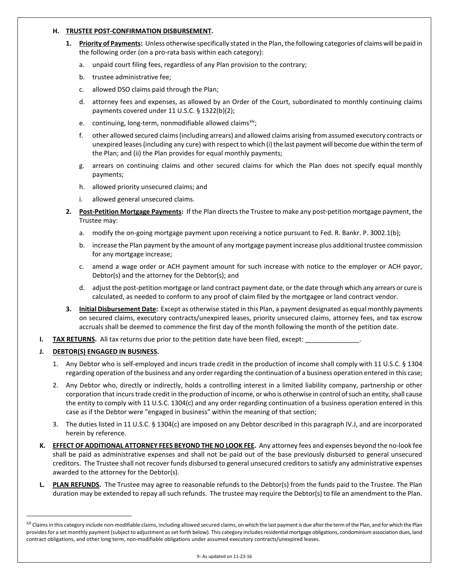## **H. TRUSTEE POST-CONFIRMATION DISBURSEMENT.**

- **1. Priority of Payments:** Unless otherwise specifically stated in the Plan, the following categories of claims will be paid in the following order (on a pro-rata basis within each category):
	- a. unpaid court filing fees, regardless of any Plan provision to the contrary;
	- b. trustee administrative fee;
	- c. allowed DSO claims paid through the Plan;
	- d. attorney fees and expenses, as allowed by an Order of the Court, subordinated to monthly continuing claims payments covered under 11 U.S.C. § 1322(b)(2);
	- e. continuing, long-term, nonmodifiable allowed claims<sup>xiv</sup>;
	- f. other allowed secured claims(including arrears) and allowed claims arising from assumed executory contracts or unexpired leases(including any cure) with respect to which (i) the last payment will become due within the term of the Plan; and (ii) the Plan provides for equal monthly payments;
	- g. arrears on continuing claims and other secured claims for which the Plan does not specify equal monthly payments;
	- h. allowed priority unsecured claims; and
	- i. allowed general unsecured claims.
- **2. Post-Petition Mortgage Payments:** If the Plan directs the Trustee to make any post-petition mortgage payment, the Trustee may:
	- a. modify the on-going mortgage payment upon receiving a notice pursuant to Fed. R. Bankr. P. 3002.1(b);
	- b. increase the Plan payment by the amount of any mortgage payment increase plus additional trustee commission for any mortgage increase;
	- c. amend a wage order or ACH payment amount for such increase with notice to the employer or ACH payor, Debtor(s) and the attorney for the Debtor(s); and
	- d. adjust the post-petition mortgage or land contract payment date, or the date through which any arrears or cure is calculated, as needed to conform to any proof of claim filed by the mortgagee or land contract vendor.
- **3. Initial Disbursement Date:** Except as otherwise stated in this Plan, a payment designated as equal monthly payments on secured claims, executory contracts/unexpired leases, priority unsecured claims, attorney fees, and tax escrow accruals shall be deemed to commence the first day of the month following the month of the petition date.
- **TAX RETURNS.** All tax returns due prior to the petition date have been filed, except:

## **J. DEBTOR(S) ENGAGED IN BUSINESS.**

- 1. Any Debtor who is self-employed and incurs trade credit in the production of income shall comply with 11 U.S.C. § 1304 regarding operation of the business and any order regarding the continuation of a business operation entered in this case;
- 2. Any Debtor who, directly or indirectly, holds a controlling interest in a limited liability company, partnership or other corporation that incurs trade credit in the production of income, or who is otherwise in control of such an entity, shall cause the entity to comply with 11 U.S.C. 1304(c) and any order regarding continuation of a business operation entered in this case as if the Debtor were "engaged in business" within the meaning of that section;
- 3. The duties listed in 11 U.S.C. § 1304(c) are imposed on any Debtor described in this paragraph IV.J, and are incorporated herein by reference.
- **K. EFFECT OF ADDITIONAL ATTORNEY FEES BEYOND THE NO LOOK FEE.** Any attorney fees and expenses beyond the no-look fee shall be paid as administrative expenses and shall not be paid out of the base previously disbursed to general unsecured creditors. The Trustee shall not recover funds disbursed to general unsecured creditors to satisfy any administrative expenses awarded to the attorney for the Debtor(s).
- **PLAN REFUNDS.** The Trustee may agree to reasonable refunds to the Debtor(s) from the funds paid to the Trustee. The Plan duration may be extended to repay all such refunds. The trustee may require the Debtor(s) to file an amendment to the Plan.

<sup>&</sup>lt;sup>xii</sup> Claims in this category include non-modifiable claims, including allowed secured claims, on which the last payment is due after the term of the Plan, and for which the Plan provides for a set monthly payment (subject to adjustment as set forth below). This category includes residential mortgage obligations, condominium association dues, land contract obligations, and other long term, non-modifiable obligations under assumed executory contracts/unexpired leases.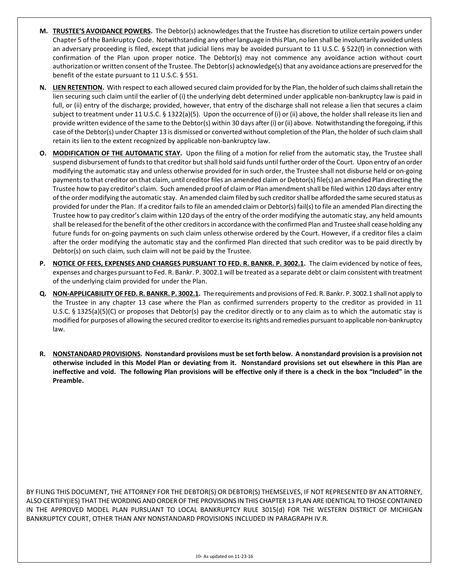- **M. TRUSTEE'S AVOIDANCE POWERS.** The Debtor(s) acknowledges that the Trustee has discretion to utilize certain powers under Chapter 5 of the Bankruptcy Code. Notwithstanding any other language in this Plan, no lien shall be involuntarily avoided unless an adversary proceeding is filed, except that judicial liens may be avoided pursuant to 11 U.S.C. § 522(f) in connection with confirmation of the Plan upon proper notice. The Debtor(s) may not commence any avoidance action without court authorization or written consent of the Trustee. The Debtor(s) acknowledge(s) that any avoidance actions are preserved for the benefit of the estate pursuant to 11 U.S.C. § 551.
- **N. LIEN RETENTION.** With respect to each allowed secured claim provided for by the Plan, the holder of such claims shall retain the lien securing such claim until the earlier of (i) the underlying debt determined under applicable non-bankruptcy law is paid in full, or (ii) entry of the discharge; provided, however, that entry of the discharge shall not release a lien that secures a claim subject to treatment under 11 U.S.C. § 1322(a)(5). Upon the occurrence of (i) or (ii) above, the holder shall release its lien and provide written evidence of the same to the Debtor(s) within 30 days after (i) or (ii) above. Notwithstanding the foregoing, if this case of the Debtor(s) under Chapter 13 is dismissed or converted without completion of the Plan, the holder of such claim shall retain its lien to the extent recognized by applicable non-bankruptcy law.
- **O. MODIFICATION OF THE AUTOMATIC STAY.** Upon the filing of a motion for relief from the automatic stay, the Trustee shall suspend disbursement of funds to that creditor but shall hold said funds until further order of the Court. Upon entry of an order modifying the automatic stay and unless otherwise provided for in such order, the Trustee shall not disburse held or on-going payments to that creditor on that claim, until creditor files an amended claim or Debtor(s) file(s) an amended Plan directing the Trustee how to pay creditor's claim. Such amended proof of claim or Plan amendment shall be filed within 120 days after entry of the order modifying the automatic stay. An amended claim filed by such creditor shall be afforded the same secured status as provided for under the Plan. If a creditor fails to file an amended claim or Debtor(s) fail(s) to file an amended Plan directing the Trustee how to pay creditor's claim within 120 days of the entry of the order modifying the automatic stay, any held amounts shall be released for the benefit of the other creditors in accordance with the confirmed Plan and Trustee shall cease holding any future funds for on-going payments on such claim unless otherwise ordered by the Court. However, if a creditor files a claim after the order modifying the automatic stay and the confirmed Plan directed that such creditor was to be paid directly by Debtor(s) on such claim, such claim will not be paid by the Trustee.
- **P. NOTICE OF FEES, EXPENSES AND CHARGES PURSUANT TO FED. R. BANKR. P. 3002.1.** The claim evidenced by notice of fees, expenses and charges pursuant to Fed. R. Bankr. P. 3002.1 will be treated as a separate debt or claim consistent with treatment of the underlying claim provided for under the Plan.
- **Q. NON-APPLICABILITY OF FED. R. BANKR. P. 3002.1.** The requirements and provisions of Fed. R. Bankr. P. 3002.1 shall not apply to the Trustee in any chapter 13 case where the Plan as confirmed surrenders property to the creditor as provided in 11 U.S.C. § 1325(a)(5)(C) or proposes that Debtor(s) pay the creditor directly or to any claim as to which the automatic stay is modified for purposes of allowing the secured creditor to exercise its rights and remedies pursuant to applicable non-bankruptcy law.
- **R. NONSTANDARD PROVISIONS. Nonstandard provisions must be set forth below. A nonstandard provision is a provision not otherwise included in this Model Plan or deviating from it. Nonstandard provisions set out elsewhere in this Plan are ineffective and void. The following Plan provisions will be effective only if there is a check in the box "Included" in the Preamble.**

BY FILING THIS DOCUMENT, THE ATTORNEY FOR THE DEBTOR(S) OR DEBTOR(S) THEMSELVES, IF NOT REPRESENTED BY AN ATTORNEY, ALSO CERTIFY(IES) THAT THE WORDING AND ORDER OF THE PROVISIONS IN THIS CHAPTER 13 PLAN ARE IDENTICAL TO THOSE CONTAINED IN THE APPROVED MODEL PLAN PURSUANT TO LOCAL BANKRUPTCY RULE 3015(d) FOR THE WESTERN DISTRICT OF MICHIGAN BANKRUPTCY COURT, OTHER THAN ANY NONSTANDARD PROVISIONS INCLUDED IN PARAGRAPH IV.R.